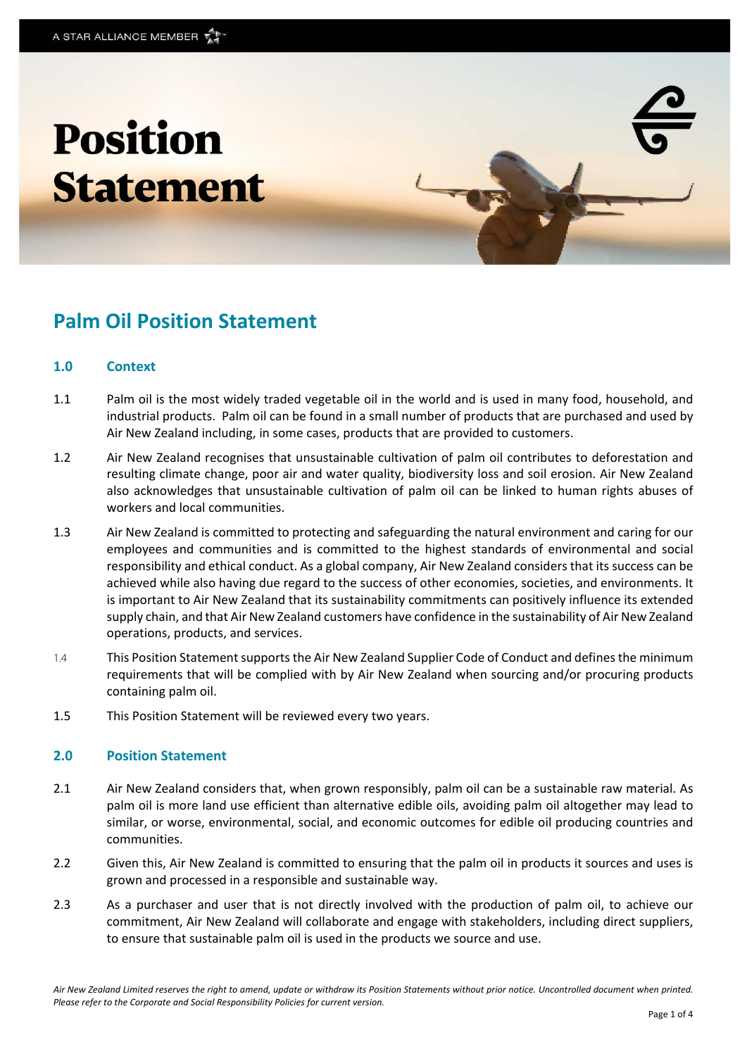# **Position Statement**



# **Palm Oil Position Statement**

#### **1.0 Context**

- 1.1 Palm oil is the most widely traded vegetable oil in the world and is used in many food, household, and industrial products. Palm oil can be found in a small number of products that are purchased and used by Air New Zealand including, in some cases, products that are provided to customers.
- 1.2 Air New Zealand recognises that unsustainable cultivation of palm oil contributes to deforestation and resulting climate change, poor air and water quality, biodiversity loss and soil erosion. Air New Zealand also acknowledges that unsustainable cultivation of palm oil can be linked to human rights abuses of workers and local communities.
- 1.3 Air New Zealand is committed to protecting and safeguarding the natural environment and caring for our employees and communities and is committed to the highest standards of environmental and social responsibility and ethical conduct. As a global company, Air New Zealand considers that its success can be achieved while also having due regard to the success of other economies, societies, and environments. It is important to Air New Zealand that its sustainability commitments can positively influence its extended supply chain, and that Air New Zealand customers have confidence in the sustainability of Air New Zealand operations, products, and services.
- 1.4 This Position Statement supports the Air New Zealand Supplier Code of Conduct and defines the minimum requirements that will be complied with by Air New Zealand when sourcing and/or procuring products containing palm oil.
- 1.5 This Position Statement will be reviewed every two years.

#### **2.0 Position Statement**

- 2.1 Air New Zealand considers that, when grown responsibly, palm oil can be a sustainable raw material. As palm oil is more land use efficient than alternative edible oils, avoiding palm oil altogether may lead to similar, or worse, environmental, social, and economic outcomes for edible oil producing countries and communities.
- 2.2 Given this, Air New Zealand is committed to ensuring that the palm oil in products it sources and uses is grown and processed in a responsible and sustainable way.
- 2.3 As a purchaser and user that is not directly involved with the production of palm oil, to achieve our commitment, Air New Zealand will collaborate and engage with stakeholders, including direct suppliers, to ensure that sustainable palm oil is used in the products we source and use.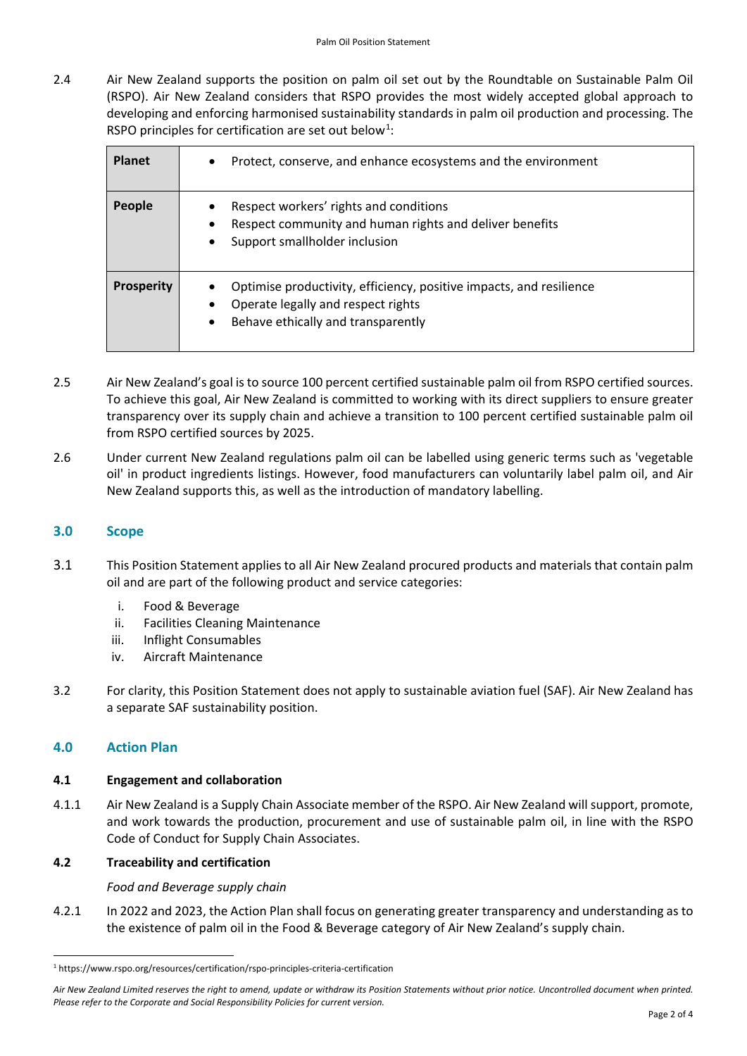2.4 Air New Zealand supports the position on palm oil set out by the Roundtable on Sustainable Palm Oil (RSPO). Air New Zealand considers that RSPO provides the most widely accepted global approach to developing and enforcing harmonised sustainability standards in palm oil production and processing. The RSPO principles for certification are set out below<sup>[1](#page-1-0)</sup>:

| <b>Planet</b>     | Protect, conserve, and enhance ecosystems and the environment<br>$\bullet$                                                                                                |
|-------------------|---------------------------------------------------------------------------------------------------------------------------------------------------------------------------|
| People            | Respect workers' rights and conditions<br>Respect community and human rights and deliver benefits<br>Support smallholder inclusion<br>$\bullet$                           |
| <b>Prosperity</b> | Optimise productivity, efficiency, positive impacts, and resilience<br>Operate legally and respect rights<br>$\bullet$<br>Behave ethically and transparently<br>$\bullet$ |

- 2.5 Air New Zealand's goal is to source 100 percent certified sustainable palm oil from RSPO certified sources. To achieve this goal, Air New Zealand is committed to working with its direct suppliers to ensure greater transparency over its supply chain and achieve a transition to 100 percent certified sustainable palm oil from RSPO certified sources by 2025.
- 2.6 Under current New Zealand regulations palm oil can be labelled using generic terms such as 'vegetable oil' in product ingredients listings. However, food manufacturers can voluntarily label palm oil, and Air New Zealand supports this, as well as the introduction of mandatory labelling.

# **3.0 Scope**

- 3.1 This Position Statement applies to all Air New Zealand procured products and materials that contain palm oil and are part of the following product and service categories:
	- i. Food & Beverage
	- ii. Facilities Cleaning Maintenance
	- iii. Inflight Consumables
	- iv. Aircraft Maintenance
- 3.2 For clarity, this Position Statement does not apply to sustainable aviation fuel (SAF). Air New Zealand has a separate SAF sustainability position.

# **4.0 Action Plan**

#### **4.1 Engagement and collaboration**

4.1.1 Air New Zealand is a Supply Chain Associate member of the RSPO. Air New Zealand will support, promote, and work towards the production, procurement and use of sustainable palm oil, in line with the RSPO Code of Conduct for Supply Chain Associates.

#### **4.2 Traceability and certification**

*Food and Beverage supply chain*

4.2.1 In 2022 and 2023, the Action Plan shall focus on generating greater transparency and understanding as to the existence of palm oil in the Food & Beverage category of Air New Zealand's supply chain.

<span id="page-1-0"></span> $\overline{\phantom{a}}$ <sup>1</sup> https://www.rspo.org/resources/certification/rspo-principles-criteria-certification

Air New Zealand Limited reserves the right to amend, update or withdraw its Position Statements without prior notice. Uncontrolled document when printed. *Please refer to the Corporate and Social Responsibility Policies for current version.*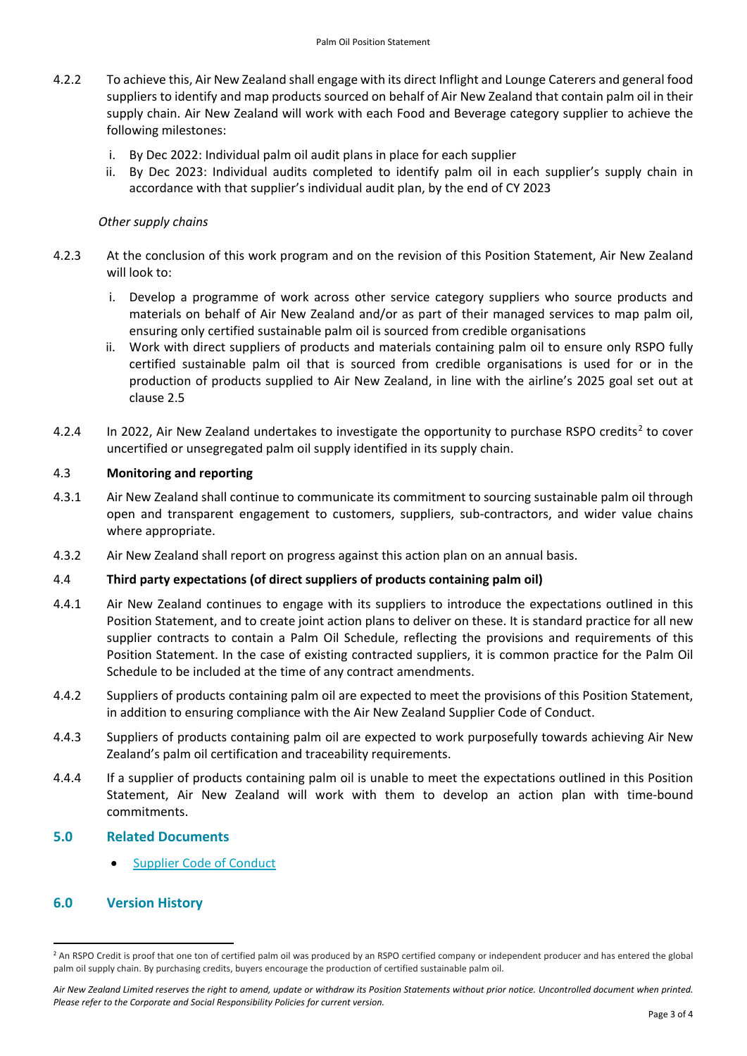- 4.2.2 To achieve this, Air New Zealand shall engage with its direct Inflight and Lounge Caterers and general food suppliers to identify and map products sourced on behalf of Air New Zealand that contain palm oil in their supply chain. Air New Zealand will work with each Food and Beverage category supplier to achieve the following milestones:
	- i. By Dec 2022: Individual palm oil audit plans in place for each supplier
	- ii. By Dec 2023: Individual audits completed to identify palm oil in each supplier's supply chain in accordance with that supplier's individual audit plan, by the end of CY 2023

# *Other supply chains*

- 4.2.3 At the conclusion of this work program and on the revision of this Position Statement, Air New Zealand will look to:
	- i. Develop a programme of work across other service category suppliers who source products and materials on behalf of Air New Zealand and/or as part of their managed services to map palm oil, ensuring only certified sustainable palm oil is sourced from credible organisations
	- ii. Work with direct suppliers of products and materials containing palm oil to ensure only RSPO fully certified sustainable palm oil that is sourced from credible organisations is used for or in the production of products supplied to Air New Zealand, in line with the airline's 2025 goal set out at clause 2.5
- 4.[2](#page-2-0).4 In 2022, Air New Zealand undertakes to investigate the opportunity to purchase RSPO credits<sup>2</sup> to cover uncertified or unsegregated palm oil supply identified in its supply chain.

# 4.3 **Monitoring and reporting**

- 4.3.1 Air New Zealand shall continue to communicate its commitment to sourcing sustainable palm oil through open and transparent engagement to customers, suppliers, sub-contractors, and wider value chains where appropriate.
- 4.3.2 Air New Zealand shall report on progress against this action plan on an annual basis.

# 4.4 **Third party expectations (of direct suppliers of products containing palm oil)**

- 4.4.1 Air New Zealand continues to engage with its suppliers to introduce the expectations outlined in this Position Statement, and to create joint action plans to deliver on these. It is standard practice for all new supplier contracts to contain a Palm Oil Schedule, reflecting the provisions and requirements of this Position Statement. In the case of existing contracted suppliers, it is common practice for the Palm Oil Schedule to be included at the time of any contract amendments.
- 4.4.2 Suppliers of products containing palm oil are expected to meet the provisions of this Position Statement, in addition to ensuring compliance with the Air New Zealand Supplier Code of Conduct.
- 4.4.3 Suppliers of products containing palm oil are expected to work purposefully towards achieving Air New Zealand's palm oil certification and traceability requirements.
- 4.4.4 If a supplier of products containing palm oil is unable to meet the expectations outlined in this Position Statement, Air New Zealand will work with them to develop an action plan with time-bound commitments.

# **5.0 Related Documents**

[Supplier Code of Conduct](https://p-airnz.com/cms/assets/NZ/PDFs/air-nz-supplier-code-of-conduct.pdf)

# **6.0 Version History**

<span id="page-2-0"></span> $\overline{\phantom{a}}$ <sup>2</sup> An RSPO Credit is proof that one ton of certified palm oil was produced by an RSPO certified company or independent producer and has entered the global palm oil supply chain. By purchasing credits, buyers encourage the production of certified sustainable palm oil.

Air New Zealand Limited reserves the right to amend, update or withdraw its Position Statements without prior notice. Uncontrolled document when printed. *Please refer to the Corporate and Social Responsibility Policies for current version.*